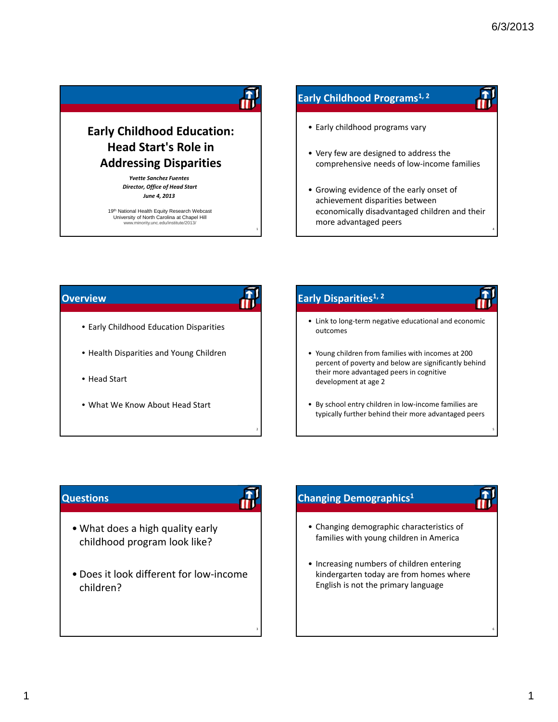4

5

6

# **Early Childhood Education: Head Start's Role in Addressing Disparities**

*Yvette Sanchez Fuentes Director, Office of Head Start June 4, 2013*

19th National Health Equity Research Webcast University of North Carolina at Chapel Hill www.minority.unc.edu/institute/2013/

# **Early Childhood Programs1, <sup>2</sup>**

- Early childhood programs vary
- Very few are designed to address the comprehensive needs of low‐income families
- Growing evidence of the early onset of achievement disparities between economically disadvantaged children and their more advantaged peers

#### **Overview**

2

3

1

- Early Childhood Education Disparities
- Health Disparities and Young Children
- Head Start
- What We Know About Head Start

# **Early Disparities1, <sup>2</sup>**

- Link to long‐term negative educational and economic outcomes
- Young children from families with incomes at 200 percent of poverty and below are significantly behind their more advantaged peers in cognitive development at age 2
- By school entry children in low‐income families are typically further behind their more advantaged peers

## **Questions**

- What does a high quality early childhood program look like?
- Does it look different for low‐income children?

# **Changing Demographics1**

- Changing demographic characteristics of families with young children in America
- Increasing numbers of children entering kindergarten today are from homes where English is not the primary language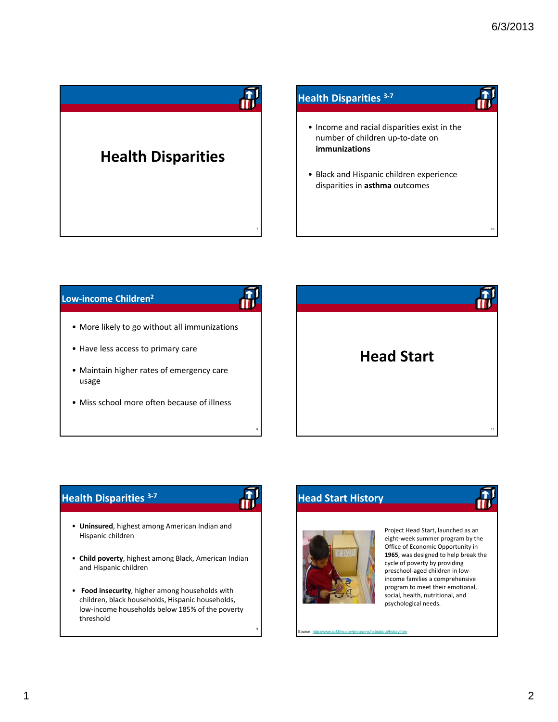10

# **Health Disparities** 7 **Health Disparities <sup>3</sup>‐<sup>7</sup>** • Income and racial disparities exist in the number of children up‐to‐date on **immunizations** • Black and Hispanic children experience disparities in **asthma** outcomes

#### **Low‐income Children2**



- More likely to go without all immunizations
- Have less access to primary care
- Maintain higher rates of emergency care usage
- Miss school more often because of illness



# **Health Disparities <sup>3</sup>‐<sup>7</sup>**

9

8

- **Uninsured**, highest among American Indian and Hispanic children
- **Child poverty**, highest among Black, American Indian and Hispanic children
- **Food insecurity**, higher among households with children, black households, Hispanic households, low‐income households below 185% of the poverty threshold

# **Head Start History**



burce: http://www.acf.hhs.gov/programs/hsb/about/hstory.htm

Project Head Start, launched as an eight‐week summer program by the Office of Economic Opportunity in **1965**, was designed to help break the cycle of poverty by providing preschool‐aged children in low‐ income families a comprehensive program to meet their emotional, social, health, nutritional, and psychological needs.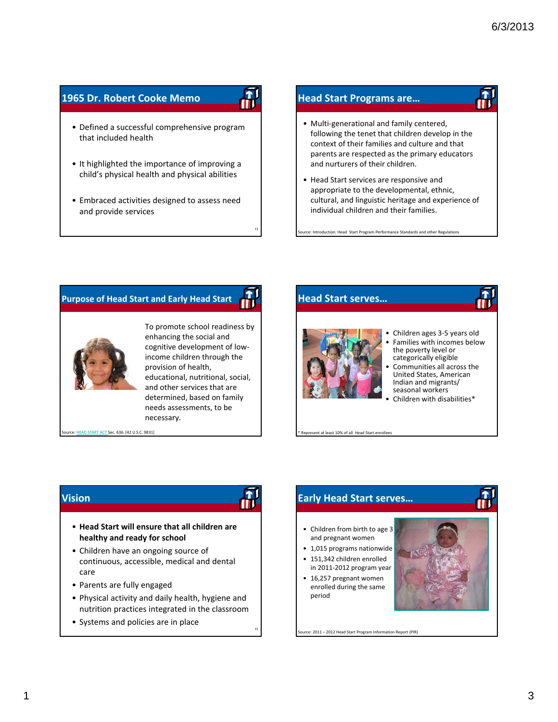# **1965 Dr. Robert Cooke Memo**

- Defined a successful comprehensive program that included health
- It highlighted the importance of improving a child's physical health and physical abilities
- Embraced activities designed to assess need and provide services

#### **Head Start Programs are…**

- Multi‐generational and family centered, following the tenet that children develop in the context of their families and culture and that parents are respected as the primary educators and nurturers of their children.
- Head Start services are responsive and appropriate to the developmental, ethnic, cultural, and linguistic heritage and experience of individual children and their families.

e: Introduction: Head Start Program Performance Standards and other Regulations

### **Purpose of Head Start and Early Head Start**



To promote school readiness by enhancing the social and cognitive development of low‐ income children through the provision of health, educational, nutritional, social, and other services that are determined, based on family needs assessments, to be necessary.

13

15

ACT Sec. 636. [42 U.S.C. 9831]

#### **Head Start serves…**



- 
- Children ages 3‐5 years old Families with incomes below<br>the poverty level or categorically eligible
- Communities all across the United States, American Indian and migrants/ seasonal workers
- Children with disabilities\*

ent at least 10% of all Head Start enrollees

urce: 2011 – 2012 Head Start Program Information Report (PIR)

## **Vision**

- **Head Start will ensure that all children are healthy and ready for school**
- Children have an ongoing source of continuous, accessible, medical and dental care
- Parents are fully engaged
- Physical activity and daily health, hygiene and nutrition practices integrated in the classroom
- Systems and policies are in place

# **Early Head Start serves…** • Children from birth to age 3 and pregnant women • 1,015 programs nationwide • 151,342 children enrolled in 2011‐2012 program year • 16,257 pregnant women enrolled during the same period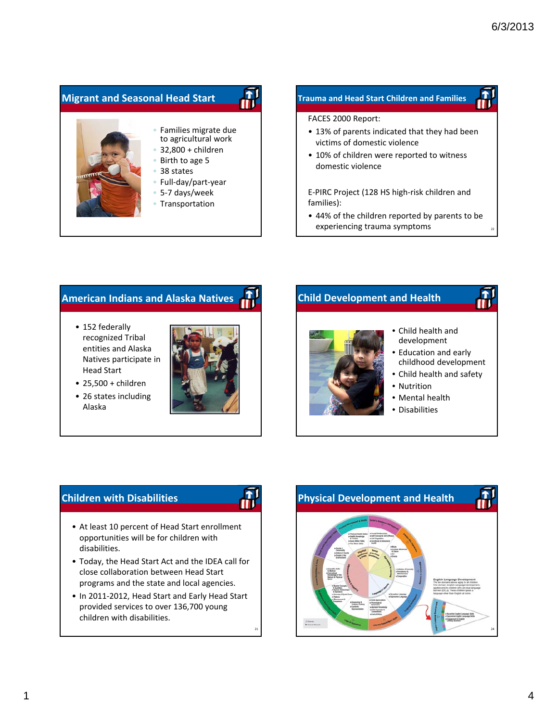# • Families migrate due to agricultural work • 32,800 + children • Birth to age 5 • 38 states **Migrant and Seasonal Head Start**

- Full‐day/part‐year
- 5‐7 days/week
- Transportation

#### **Trauma and Head Start Children and Families**

#### FACES 2000 Report:

- 13% of parents indicated that they had been victims of domestic violence
- 10% of children were reported to witness domestic violence

E‐PIRC Project (128 HS high‐risk children and families):

• 44% of the children reported by parents to be experiencing trauma symptoms

## **American Indians and Alaska Natives**

- 152 federally recognized Tribal entities and Alaska Natives participate in Head Start
- 25,500 + children
- 26 states including Alaska



# **Child Development and Health**



- Child health and development
- Education and early childhood development
- Child health and safety
- Nutrition
- Mental health
- Disabilities

# **Children with Disabilities**

21

- At least 10 percent of Head Start enrollment opportunities will be for children with disabilities.
- Today, the Head Start Act and the IDEA call for close collaboration between Head Start programs and the state and local agencies.
- In 2011‐2012, Head Start and Early Head Start provided services to over 136,700 young children with disabilities.

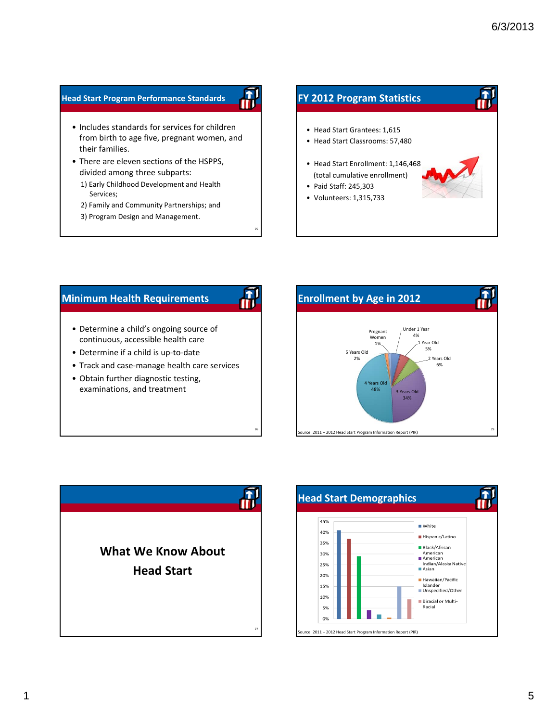#### **Head Start Program Performance Standards**

- Includes standards for services for children from birth to age five, pregnant women, and their families.
- There are eleven sections of the HSPPS, divided among three subparts:
	- 1) Early Childhood Development and Health Services;
	- 2) Family and Community Partnerships; and

25

đ

al.<br>III

26

3) Program Design and Management.

# **FY 2012 Program Statistics** • Head Start Grantees: 1,615 • Head Start Classrooms: 57,480 • Head Start Enrollment: 1,146,468 (total cumulative enrollment) • Paid Staff: 245,303 • Volunteers: 1,315,733

## **Minimum Health Requirements**

- Determine a child's ongoing source of continuous, accessible health care
- Determine if a child is up‐to‐date
- Track and case‐manage health care services
- Obtain further diagnostic testing, examinations, and treatment